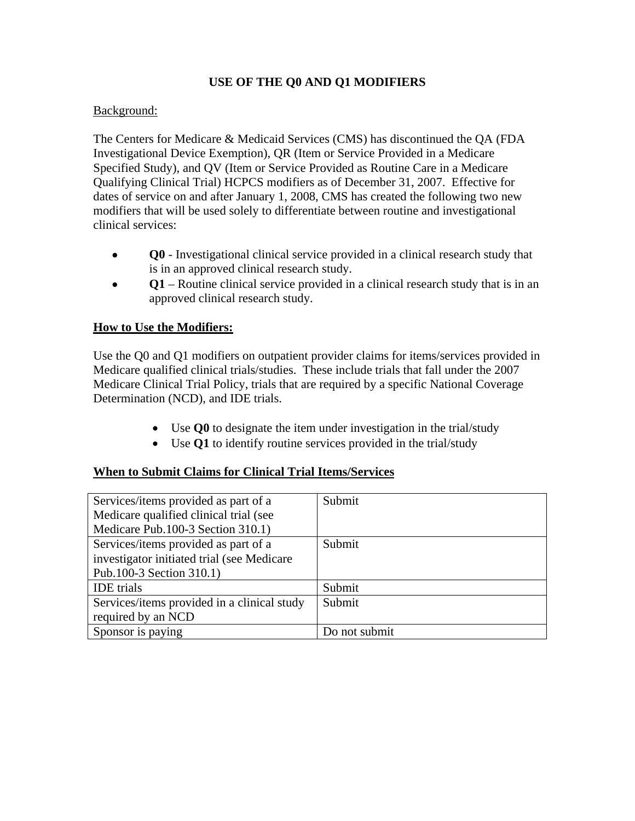# **USE OF THE Q0 AND Q1 MODIFIERS**

### Background:

The Centers for Medicare & Medicaid Services (CMS) has discontinued the QA (FDA Investigational Device Exemption), QR (Item or Service Provided in a Medicare Specified Study), and QV (Item or Service Provided as Routine Care in a Medicare Qualifying Clinical Trial) HCPCS modifiers as of December 31, 2007. Effective for dates of service on and after January 1, 2008, CMS has created the following two new modifiers that will be used solely to differentiate between routine and investigational clinical services:

- **Q0**  Investigational clinical service provided in a clinical research study that is in an approved clinical research study.
- **Q1** Routine clinical service provided in a clinical research study that is in an approved clinical research study.

### **How to Use the Modifiers:**

Use the Q0 and Q1 modifiers on outpatient provider claims for items/services provided in Medicare qualified clinical trials/studies. These include trials that fall under the 2007 Medicare Clinical Trial Policy, trials that are required by a specific National Coverage Determination (NCD), and IDE trials.

- Use **Q0** to designate the item under investigation in the trial/study
- Use **Q1** to identify routine services provided in the trial/study

#### **When to Submit Claims for Clinical Trial Items/Services**

| Services/items provided as part of a        | Submit        |
|---------------------------------------------|---------------|
| Medicare qualified clinical trial (see      |               |
| Medicare Pub.100-3 Section 310.1)           |               |
| Services/items provided as part of a        | Submit        |
| investigator initiated trial (see Medicare  |               |
| Pub.100-3 Section 310.1)                    |               |
| <b>IDE</b> trials                           | Submit        |
| Services/items provided in a clinical study | Submit        |
| required by an NCD                          |               |
| Sponsor is paying                           | Do not submit |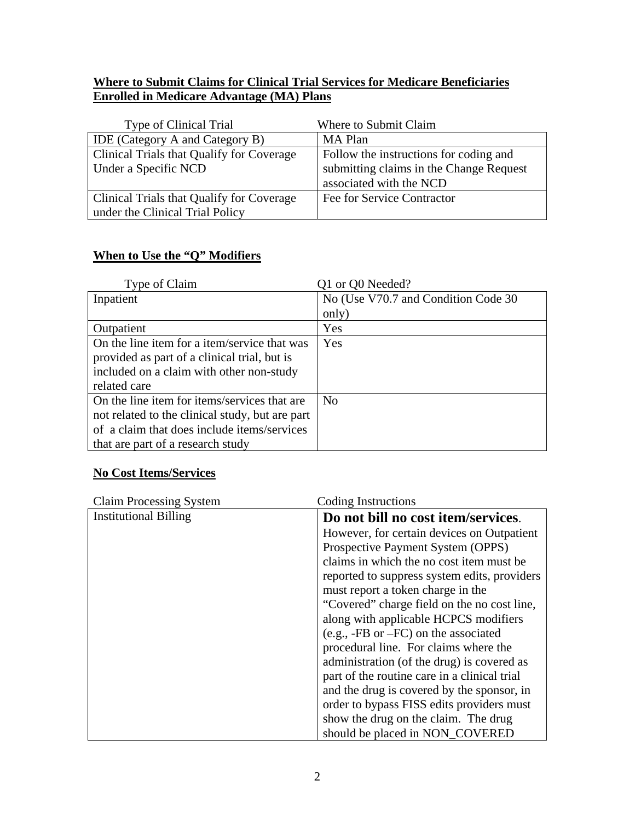# **Where to Submit Claims for Clinical Trial Services for Medicare Beneficiaries Enrolled in Medicare Advantage (MA) Plans**

| Type of Clinical Trial                    | Where to Submit Claim                   |  |
|-------------------------------------------|-----------------------------------------|--|
| <b>IDE</b> (Category A and Category B)    | MA Plan                                 |  |
| Clinical Trials that Qualify for Coverage | Follow the instructions for coding and  |  |
| Under a Specific NCD                      | submitting claims in the Change Request |  |
|                                           | associated with the NCD                 |  |
| Clinical Trials that Qualify for Coverage | Fee for Service Contractor              |  |
| under the Clinical Trial Policy           |                                         |  |

# **When to Use the "Q" Modifiers**

| Type of Claim                                   | Q1 or Q0 Needed?                     |
|-------------------------------------------------|--------------------------------------|
| Inpatient                                       | No (Use V70.7 and Condition Code 30) |
|                                                 | only)                                |
| Outpatient                                      | Yes                                  |
| On the line item for a item/service that was    | Yes                                  |
| provided as part of a clinical trial, but is    |                                      |
| included on a claim with other non-study        |                                      |
| related care                                    |                                      |
| On the line item for items/services that are    | N <sub>o</sub>                       |
| not related to the clinical study, but are part |                                      |
| of a claim that does include items/services     |                                      |
| that are part of a research study               |                                      |

# **No Cost Items/Services**

| <b>Claim Processing System</b> | Coding Instructions                          |  |
|--------------------------------|----------------------------------------------|--|
| <b>Institutional Billing</b>   | Do not bill no cost item/services.           |  |
|                                | However, for certain devices on Outpatient   |  |
|                                | Prospective Payment System (OPPS)            |  |
|                                | claims in which the no cost item must be     |  |
|                                | reported to suppress system edits, providers |  |
|                                | must report a token charge in the            |  |
|                                | "Covered" charge field on the no cost line,  |  |
|                                | along with applicable HCPCS modifiers        |  |
|                                | $(e.g., -FB or -FC)$ on the associated       |  |
|                                | procedural line. For claims where the        |  |
|                                | administration (of the drug) is covered as   |  |
|                                | part of the routine care in a clinical trial |  |
|                                | and the drug is covered by the sponsor, in   |  |
|                                | order to bypass FISS edits providers must    |  |
|                                | show the drug on the claim. The drug         |  |
|                                | should be placed in NON_COVERED              |  |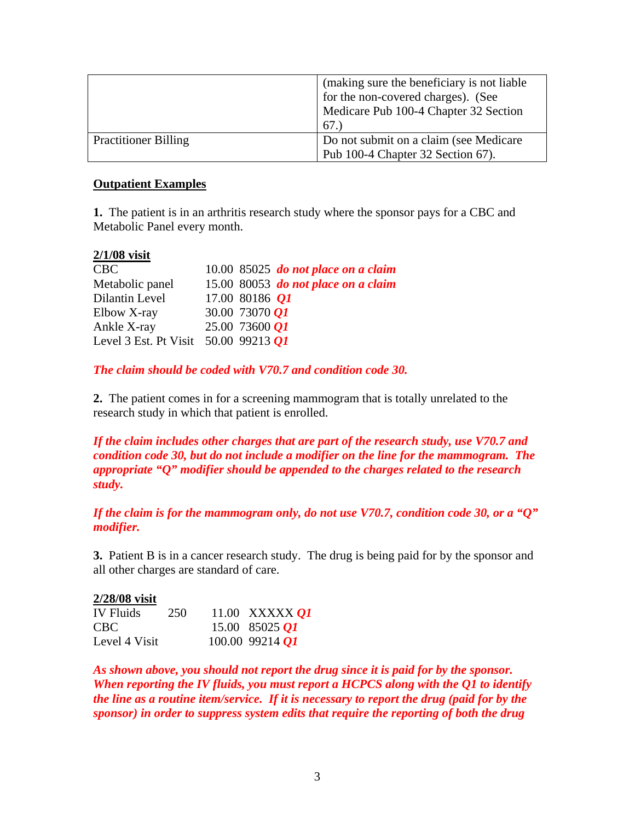|                             | (making sure the beneficiary is not liable) |
|-----------------------------|---------------------------------------------|
|                             | for the non-covered charges). (See          |
|                             | Medicare Pub 100-4 Chapter 32 Section       |
|                             | 67.)                                        |
| <b>Practitioner Billing</b> | Do not submit on a claim (see Medicare      |
|                             | Pub 100-4 Chapter 32 Section 67).           |

#### **Outpatient Examples**

**1.** The patient is in an arthritis research study where the sponsor pays for a CBC and Metabolic Panel every month.

#### **2/1/08 visit**

| <b>CBC</b>                                  | $10.00\,$ 85025 do not place on a claim |
|---------------------------------------------|-----------------------------------------|
| Metabolic panel                             | 15.00 80053 do not place on a claim     |
| Dilantin Level                              | 17.00 80186 $O1$                        |
| Elbow X-ray                                 | 30.00 73070 $Q1$                        |
| Ankle X-ray                                 | 25.00 73600 01                          |
| Level 3 Est. Pt Visit 50.00 99213 <i>Q1</i> |                                         |

*The claim should be coded with V70.7 and condition code 30.* 

**2.** The patient comes in for a screening mammogram that is totally unrelated to the research study in which that patient is enrolled.

*If the claim includes other charges that are part of the research study, use V70.7 and condition code 30, but do not include a modifier on the line for the mammogram. The appropriate "Q" modifier should be appended to the charges related to the research study.* 

*If the claim is for the mammogram only, do not use V70.7, condition code 30, or a "Q" modifier.* 

**3.** Patient B is in a cancer research study. The drug is being paid for by the sponsor and all other charges are standard of care.

#### **2/28/08 visit**

| <b>IV</b> Fluids | 250 | 11.00 XXXXX <i>O1</i> |
|------------------|-----|-----------------------|
| CBC.             |     | 15.00 85025 $O1$      |
| Level 4 Visit    |     | $100.00$ 99214 $QI$   |

*As shown above, you should not report the drug since it is paid for by the sponsor. When reporting the IV fluids, you must report a HCPCS along with the Q1 to identify the line as a routine item/service. If it is necessary to report the drug (paid for by the sponsor) in order to suppress system edits that require the reporting of both the drug*